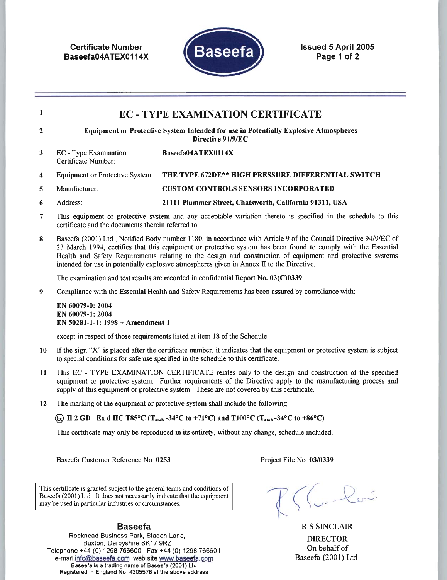**Certificate Number** Baseefa04ATEX0114X



**Issued 5 April 2005** Page 1 of 2

#### $\mathbf{1}$ **EC - TYPE EXAMINATION CERTIFICATE** Equipment or Protective System Intended for use in Potentially Explosive Atmospheres  $\overline{2}$ Directive 94/9/EC EC - Type Examination Baseefa04ATEX0114X  $\mathbf{3}$ Certificate Number: **Equipment or Protective System:** THE TYPE 672DE\*\* HIGH PRESSURE DIFFERENTIAL SWITCH  $\boldsymbol{4}$ **CUSTOM CONTROLS SENSORS INCORPORATED**  $\overline{5}$ Manufacturer: 6 Address: 21111 Plummer Street, Chatsworth, California 91311, USA

- $\overline{7}$ This equipment or protective system and any acceptable variation thereto is specified in the schedule to this certificate and the documents therein referred to.
- Baseefa (2001) Ltd., Notified Body number 1180, in accordance with Article 9 of the Council Directive 94/9/EC of 8 23 March 1994, certifies that this equipment or protective system has been found to comply with the Essential Health and Safety Requirements relating to the design and construction of equipment and protective systems intended for use in potentially explosive atmospheres given in Annex II to the Directive.

The examination and test results are recorded in confidential Report No. 03(C)0339

Compliance with the Essential Health and Safety Requirements has been assured by compliance with:  $\boldsymbol{9}$ 

EN 60079-0: 2004 EN 60079-1: 2004 EN 50281-1-1: 1998 + Amendment 1

except in respect of those requirements listed at item 18 of the Schedule.

- If the sign "X" is placed after the certificate number, it indicates that the equipment or protective system is subject 10 to special conditions for safe use specified in the schedule to this certificate.
- This EC TYPE EXAMINATION CERTIFICATE relates only to the design and construction of the specified 11 equipment or protective system. Further requirements of the Directive apply to the manufacturing process and supply of this equipment or protective system. These are not covered by this certificate.
- The marking of the equipment or protective system shall include the following : 12

 $\langle \overline{\mathfrak{c}}_x \rangle$  II 2 GD Ex d IIC T85°C (T<sub>amb</sub>-34°C to +71°C) and T100°C (T<sub>amb</sub>-34°C to +86°C)

This certificate may only be reproduced in its entirety, without any change, schedule included.

Baseefa Customer Reference No. 0253

Project File No. 03/0339

This certificate is granted subject to the general terms and conditions of Baseefa (2001) Ltd. It does not necessarily indicate that the equipment may be used in particular industries or circumstances.

R S SINCLAIR **DIRECTOR** On behalf of Baseefa (2001) Ltd.

# **Baseefa**

Rockhead Business Park, Staden Lane, Buxton, Derbyshire SK17 9RZ Telephone +44 (0) 1298 766600 Fax +44 (0) 1298 766601 e-mail info@baseefa.com web site www.baseefa.com Baseefa is a trading name of Baseefa (2001) Ltd Registered in England No. 4305578 at the above address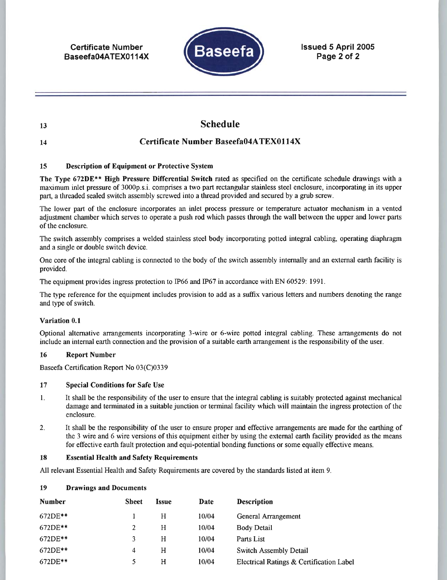**Certificate Number** Baseefa04ATEX0114X



**Issued 5 April 2005** Page 2 of 2

**Schedule** 

13

### 14

# **Certificate Number Baseefa04ATEX0114X**

#### 15 **Description of Equipment or Protective System**

The Type 672DE\*\* High Pressure Differential Switch rated as specified on the certificate schedule drawings with a maximum inlet pressure of 3000p.s.i. comprises a two part rectangular stainless steel enclosure, incorporating in its upper part, a threaded sealed switch assembly screwed into a thread provided and secured by a grub screw.

The lower part of the enclosure incorporates an inlet process pressure or temperature actuator mechanism in a vented adjustment chamber which serves to operate a push rod which passes through the wall between the upper and lower parts of the enclosure.

The switch assembly comprises a welded stainless steel body incorporating potted integral cabling, operating diaphragm and a single or double switch device.

One core of the integral cabling is connected to the body of the switch assembly internally and an external earth facility is provided.

The equipment provides ingress protection to IP66 and IP67 in accordance with EN 60529: 1991.

The type reference for the equipment includes provision to add as a suffix various letters and numbers denoting the range and type of switch.

### Variation 0.1

Optional alternative arrangements incorporating 3-wire or 6-wire potted integral cabling. These arrangements do not include an internal earth connection and the provision of a suitable earth arrangement is the responsibility of the user.

#### 16 **Report Number**

Baseefa Certification Report No 03(C)0339

#### **Special Conditions for Safe Use** 17

- It shall be the responsibility of the user to ensure that the integral cabling is suitably protected against mechanical  $\mathbf{1}$ . damage and terminated in a suitable junction or terminal facility which will maintain the ingress protection of the enclosure.
- $2.$ It shall be the responsibility of the user to ensure proper and effective arrangements are made for the earthing of the 3 wire and 6 wire versions of this equipment either by using the external earth facility provided as the means for effective earth fault protection and equi-potential bonding functions or some equally effective means.

#### **Essential Health and Safety Requirements** 18

All relevant Essential Health and Safety Requirements are covered by the standards listed at item 9.

| <b>Number</b> | <b>Sheet</b> | <b>Issue</b> | Date  | <b>Description</b>                       |
|---------------|--------------|--------------|-------|------------------------------------------|
|               |              |              |       |                                          |
| 672DE**       |              | Н            | 10/04 | General Arrangement                      |
| 672DE**       | 2            | Н            | 10/04 | Body Detail                              |
| 672DE**       | 3            | H            | 10/04 | Parts List                               |
| 672DE**       | 4            | Н            | 10/04 | <b>Switch Assembly Detail</b>            |
| $672DE**$     | 5            | н            | 10/04 | Electrical Ratings & Certification Label |

#### 19 **Drawings and Documents**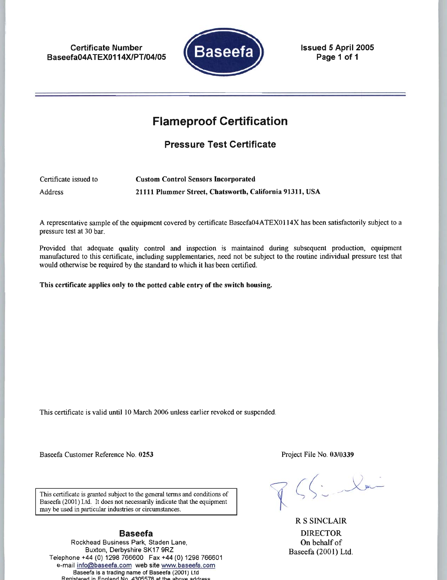**Certificate Number** Baseefa04ATEX0114X/PT/04/05



**Issued 5 April 2005** Page 1 of 1

# **Flameproof Certification**

**Pressure Test Certificate** 

Certificate issued to **Custom Control Sensors Incorporated Address** 21111 Plummer Street, Chatsworth, California 91311, USA

A representative sample of the equipment covered by certificate Baseefa04ATEX0114X has been satisfactorily subject to a pressure test at 30 bar.

Provided that adequate quality control and inspection is maintained during subsequent production, equipment manufactured to this certificate, including supplementaries, need not be subject to the routine individual pressure test that would otherwise be required by the standard to which it has been certified.

This certificate applies only to the potted cable entry of the switch housing.

This certificate is valid until 10 March 2006 unless earlier revoked or suspended.

Baseefa Customer Reference No. 0253

Project File No. 03/0339

This certificate is granted subject to the general terms and conditions of Baseefa (2001) Ltd. It does not necessarily indicate that the equipment may be used in particular industries or circumstances.

### **Baseefa**

Rockhead Business Park, Staden Lane, Buxton, Derbyshire SK17 9RZ Telephone +44 (0) 1298 766600 Fax +44 (0) 1298 766601 e-mail info@baseefa.com web site www.baseefa.com Baseefa is a trading name of Baseefa (2001) Ltd istered in England No. 4305578 at the above addi

**R S SINCLAIR DIRECTOR** On behalf of Baseefa (2001) Ltd.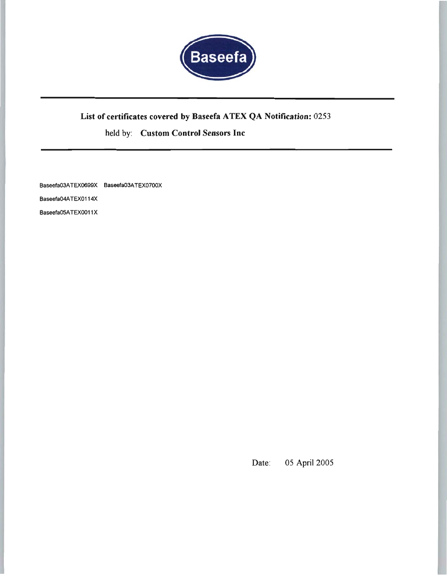

# List of certificates covered by Baseefa ATEX QA Notification: 0253

held by: Custom Control Sensors Inc

Baseefa03ATEX0699X Baseefa03ATEX0700X

Baseefa04ATEX0114X

Baseefa05ATEX0011X

05 April 2005 Date: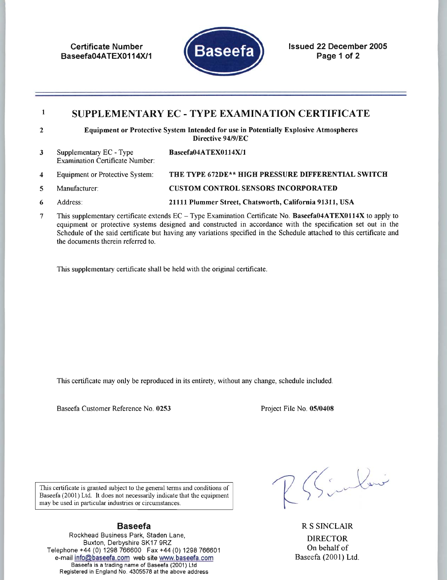**Certificate Number** Baseefa04ATEX0114X/1



**Issued 22 December 2005** Page 1 of 2

### $\mathbf{1}$ SUPPLEMENTARY EC - TYPE EXAMINATION CERTIFICATE

- Equipment or Protective System Intended for use in Potentially Explosive Atmospheres  $\overline{2}$ Directive 94/9/EC
- Supplementary EC Type Baseefa04ATEX0114X/1  $\mathbf{3}$ **Examination Certificate Number:**
- **Equipment or Protective System:** THE TYPE 672DE\*\* HIGH PRESSURE DIFFERENTIAL SWITCH  $\overline{\mathbf{4}}$
- $5\phantom{.0}$ Manufacturer: **CUSTOM CONTROL SENSORS INCORPORATED**
- Address: 21111 Plummer Street, Chatsworth, California 91311, USA 6
- $7\phantom{.0}$ This supplementary certificate extends  $EC - Type$  Examination Certificate No. Baseefa04ATEX0114X to apply to equipment or protective systems designed and constructed in accordance with the specification set out in the Schedule of the said certificate but having any variations specified in the Schedule attached to this certificate and the documents therein referred to.

This supplementary certificate shall be held with the original certificate.

This certificate may only be reproduced in its entirety, without any change, schedule included.

Baseefa Customer Reference No. 0253

Project File No. 05/0408

This certificate is granted subject to the general terms and conditions of Baseefa (2001) Ltd. It does not necessarily indicate that the equipment may be used in particular industries or circumstances.

# **Baseefa**

Rockhead Business Park, Staden Lane, Buxton, Derbyshire SK17 9RZ Telephone +44 (0) 1298 766600 Fax +44 (0) 1298 766601 e-mail info@baseefa.com web site www.baseefa.com Baseefa is a trading name of Baseefa (2001) Ltd Registered in England No. 4305578 at the above address

Sinlai

**R S SINCLAIR DIRECTOR** On behalf of Baseefa (2001) Ltd.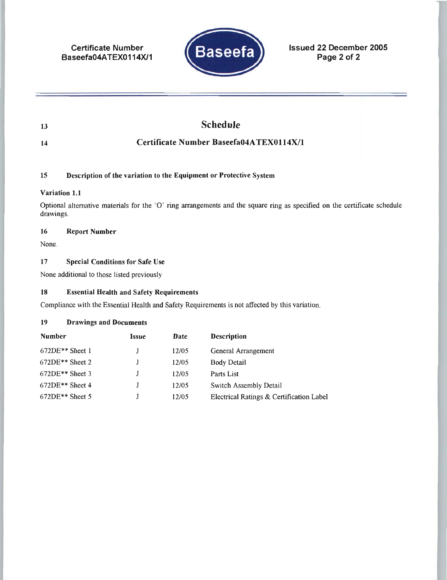**Certificate Number** Baseefa04ATEX0114X/1



**Issued 22 December 2005** Page 2 of 2

| <b>13</b> | <b>Schedule</b> |
|-----------|-----------------|
|           |                 |

 $14$ 

# Certificate Number Baseefa04ATEX0114X/1

#### 15 Description of the variation to the Equipment or Protective System

### Variation 1.1

Optional alternative materials for the 'O' ring arrangements and the square ring as specified on the certificate schedule drawings.

#### 16 **Report Number**

None.

#### 17 **Special Conditions for Safe Use**

None additional to those listed previously

#### 18 **Essential Health and Safety Requirements**

Compliance with the Essential Health and Safety Requirements is not affected by this variation.

#### 19 **Drawings and Documents**

| <b>Number</b>     | Issue | Date  | <b>Description</b>                       |
|-------------------|-------|-------|------------------------------------------|
| $672DE**$ Sheet 1 |       | 12/05 | General Arrangement                      |
| $672DE**$ Sheet 2 |       | 12/05 | Body Detail                              |
| $672DE**$ Sheet 3 |       | 12/05 | Parts List                               |
| $672DE**$ Sheet 4 |       | 12/05 | Switch Assembly Detail                   |
| $672DE**$ Sheet 5 |       | 12/05 | Electrical Ratings & Certification Label |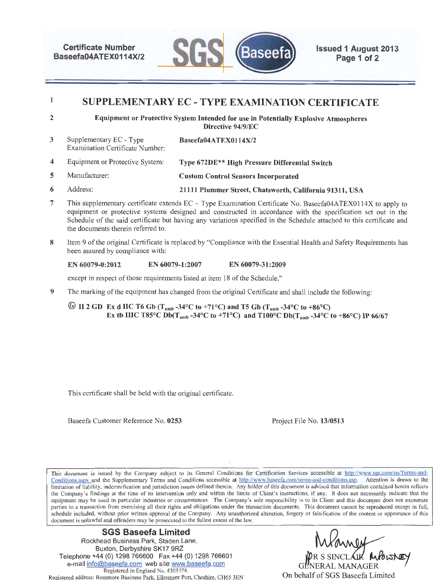Certificate Number Baseefa04ATEX0114X/2



Issued 1 August 2013 Page 1 of 2

#### 1 SUPPLEMENTARY EC- TYPE EXAMINATION CERTIFICATE

2

Equipment or Protective System Intended for use in Potentially Explosive Atmospheres Directive 94/9/EC

- 3 Supplementary EC - Type Examination Certificate Number: Baseefa04ATEX0114X/2
- 4 Equipment or Protective System: Type 672DE\*\* High Pressure Differential Switch
- 5 Manufacturer: Custom Control Sensors Incorporated
- 6 Address: 21111 Plummer Street, Chatsworth, California 91311, USA
- 7 This supplementary certifjcate extends EC Type Examination Certificate No. Baseefa04ATEX0114X to apply to equipment or protective systems designed and constructed in accordance with the specification set out in the Schedule of the said certificate but having any variations specified in the Schedule attached to this certificate and the documents therein referred to.
- 8 Item 9 of the original Certificate is replaced by "Compliance with the Essential Health and Safety Requirements has been assured by compliance with:

### EN 60079-0:2012 EN 60079-1:2007 EN 60079-31:2009

except in respect of those requirements listed at item 18 of the Schedule."

9 The marking of the equipment has changed from the original Certificate and shall include the following:

 $\circled{2}$  II 2 GD Ex d IIC T6 Gb (T<sub>amb</sub> -34°C to +71°C) and T5 Gb (T<sub>amb</sub> -34°C to +86°C) Ex tb IIIC T85°C Db(T<sub>amb</sub> -34°C to +71°C) and T100°C Db(T<sub>amb</sub> -34°C to +86°C) IP 66/67

This certificate shall be held with the original certificate.

Baseefa Customer Reference No. 0253 Project File No. 13/0513

This document is issued by the Company subject to its General Conditions for Certification Services accessible at http://www.sgs.com/en/Terms-and-Conditions.aspx and the Supplementary Terms and Conditions accessible at http://www.baseefa.com/terms-and-conditions.asp. Attention is drawn to the limitation of liability, indemnification and jurisdiction issues defined therein. Any holder of this document is advised that information contained herein reflects the Company's findings at the time of its intervention only and within the limits of Client's instructions, if any. It does not necessarily indicate that the equipment may be used in particular industries or circumstances. The Company's sole responsibility is to its Client and this document does not exonerate parties to a transaction from exercising all their rights and obligations under the transaction documents. This document cannot be reproduced except in full, schedule included, without prior written approval of the Company. Any unauthorized alteration, forgery or falsification of the content or appearance of this document is unlawful and offenders may be prosecuted to the fullest extent of the law.

### SGS Baseefa Limited Rockhead Business Park, Staden Lane, Buxton, Derbyshire SK17 9RZ Telephone +44 (0) 1298 766600 Fax +44 (0) 1298 766601 e-mail info@baseefa.com web site www.baseefa.com Registered in England No. 4305578. Registered address: Rossmore Business Park, Ellesmere Port, Cheshire, CH65 3EN

GENERAL MANAGER On behalf of SGS Baseefa Limited